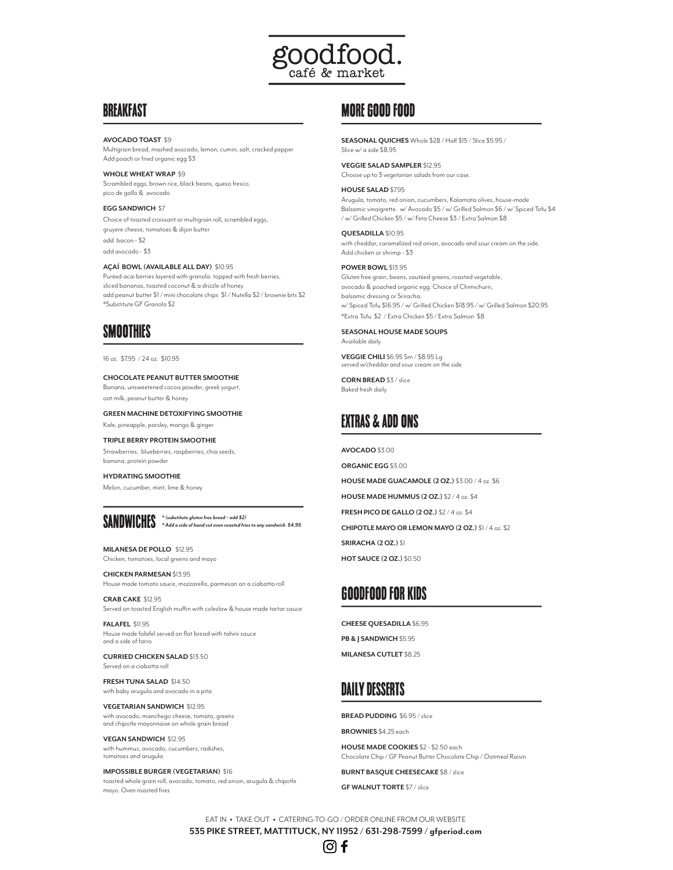

### BREAKFAST

**AVOCADO TOAST** \$9 Multigrain bread, mashed avocado, lemon, cumin, salt, cracked pepper Add poach or fried organic egg \$3

**WHOLE WHEAT WRAP** \$9 Scrambled eggs, brown rice, black beans, queso fresco, pico de gallo & avocado

#### **EGG SANDWICH** \$7

Choice of toasted croissant or multigrain roll, scrambled eggs, gruyere cheese, tomatoes & dijon butter add bacon - \$2 add avocado - \$3

**AÇAÍ BOWL (AVAILABLE ALL DAY)** \$10.95 Puréed acai berries layered with granola. topped with fresh berries, sliced bananas, toasted coconut & a drizzle of honey add peanut butter \$1 / mini chocolate chips \$1 / Nutella \$2 / brownie bits \$2 \*Substitute GF Granola \$2

# **SMOOTHIES**

16 oz. \$7.95 / 24 oz. \$10.95

#### **CHOCOLATE PEANUT BUTTER SMOOTHIE** Banana, unsweetened cocoa powder, greek yogurt,

oat milk, peanut butter & honey

**GREEN MACHINE DETOXIFYING SMOOTHIE** 

Kale, pineapple, parsley, mango & ginger

#### **TRIPLE BERRY PROTEIN SMOOTHIE** Strawberries, blueberries, raspberries, chia seeds,

banana, protein powder **HYDRATING SMOOTHIE**

Melon, cucumber, mint, lime & honey



# sandwiches *\* (substitute gluten free bread – add \$2) \* Add a side of hand cut oven roasted fries to any sandwich \$4.95*

**MILANESA DE POLLO** \$12.95 Chicken, tomatoes, local greens and mayo

**CHICKEN PARMESAN** \$13.95 House made tomato sauce, mozzarella, parmesan on a ciabatta roll

**CRAB CAKE** \$12.95 Served on toasted English muffin with coleslaw & house made tartar sauce

**FALAFEL** \$11.95 House made falafel served on flat bread with tahini sauce and a side of farro

**CURRIED CHICKEN SALAD** \$13.50 Served on a ciabatta roll

**FRESH TUNA SALAD** \$14.50 with baby arugula and avocado in a pita

**VEGETARIAN SANDWICH** \$12.95 with avocado, manchego cheese, tomato, greens and chipotle mayonnaise on whole grain bread

**VEGAN SANDWICH** \$12.95 with hummus, avocado, cucumbers, radishes, tomatoes and arugula

**IMPOSSIBLE BURGER (VEGETARIAN)** \$16 toasted whole grain roll, avocado, tomato, red onion, arugula & chipotle mayo. Oven roasted fries

# MORE GOOD FOOD

**SEASONAL QUICHES** Whole \$28 / Half \$15 / Slice \$5.95 / Slice w/ a side \$8.95

**VEGGIE SALAD SAMPLER** \$12.95

Choose up to 3 vegetarian salads from our case.

**HOUSE SALAD** \$7.95

Arugula, tomato, red onion, cucumbers, Kalamata olives, house-made Balsamic vinaigrette. w/ Avocado \$5 / w/ Grilled Salmon \$6 / w/ Spiced Tofu \$4 / w/ Grilled Chicken \$5 / w/ Feta Cheese \$3 / Extra Salmon \$8

**QUESADILLA** \$10.95 with cheddar, caramelized red onion, avocado and sour cream on the side. Add chicken or shrimp - \$3

**POWER BOWL** \$13.95

Gluten free grain, beans, sautéed greens, roasted vegetable, avocado & poached organic egg. Choice of Chimichurri, balsamic dressing or Sriracha. w/ Spiced Tofu \$16.95 / w/ Grilled Chicken \$18.95 / w/ Grilled Salmon \$20.95 \*Extra Tofu \$2 / Extra Chicken \$5 / Extra Salmon \$8

**SEASONAL HOUSE MADE SOUPS**  Available daily

**VEGGIE CHILI** \$6.95 Sm / \$8.95 Lg<br>served w/cheddar and sour cream on the side

**CORN BREAD** \$3 / slice Baked fresh daily

# EXTRAS & ADD ONS

**AVOCADO** \$3.00

**ORGANIC EGG** \$3.00 **HOUSE MADE GUACAMOLE (2 OZ.)** \$3.00 / 4 oz. \$6 **HOUSE MADE HUMMUS (2 OZ.)** \$2 / 4 oz. \$4 **FRESH PICO DE GALLO (2 OZ.)** \$2 / 4 oz. \$4 **CHIPOTLE MAYO OR LEMON MAYO (2 OZ.)** \$1 / 4 oz. \$2 **SRIRACHA (2 OZ.)** \$1 **HOT SAUCE (2 OZ.)** \$0.50

# goodfood for kids

**CHEESE QUESADILLA** \$6.95 **PB & J SANDWICH** \$5.95 **MILANESA CUTLET** \$8.25

# daily desserts

**BREAD PUDDING** \$6.95 / slice

**BROWNIES** \$4.25 each

**HOUSE MADE COOKIES** \$2 - \$2.50 each Chocolate Chip / GF Peanut Butter Chocolate Chip / Oatmeal Raisin

**BURNT BASQUE CHEESECAKE** \$8 / slice

**GF WALNUT TORTE** \$7 / slice

EAT IN • TAKE OUT • CATERING-TO-GO / ORDER ONLINE FROM OUR WEBSITE **535 PIKE STREET, MATTITUCK, NY 11952 / 631-298-7599 / gfperiod.com**

### |ට <del>f</del>